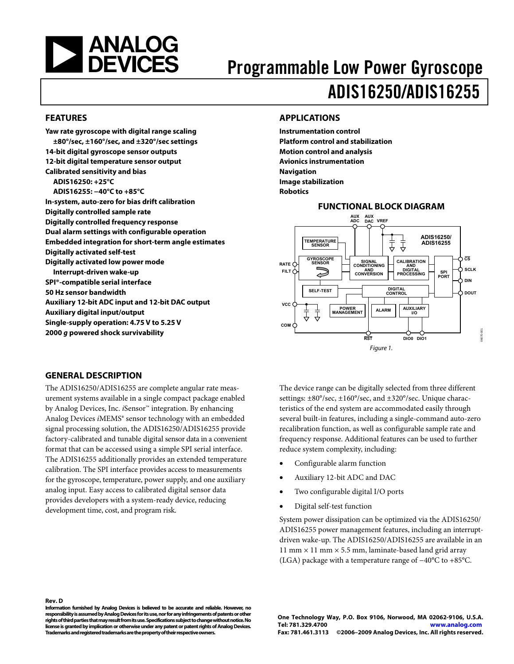<span id="page-0-0"></span>

# Programmable Low Power Gyroscope ADIS16250/ADIS16255

#### **FEATURES**

**Yaw rate gyroscope with digital range scaling ±80°/sec, ±160°/sec, and ±320°/sec settings 14-bit digital gyroscope sensor outputs 12-bit digital temperature sensor output Calibrated sensitivity and bias ADIS16250: +25°C ADIS16255: −40°C to +85°C In-system, auto-zero for bias drift calibration Digitally controlled sample rate Digitally controlled frequency response Dual alarm settings with configurable operation Embedded integration for short-term angle estimates Digitally activated self-test Digitally activated low power mode Interrupt-driven wake-up SPI®-compatible serial interface 50 Hz sensor bandwidth Auxiliary 12-bit ADC input and 12-bit DAC output Auxiliary digital input/output Single-supply operation: 4.75 V to 5.25 V 2000 g powered shock survivability** 

#### **APPLICATIONS**

**Instrumentation control Platform control and stabilization Motion control and analysis Avionics instrumentation Navigation Image stabilization Robotics** 

#### **FUNCTIONAL BLOCK DIAGRAM**



#### **GENERAL DESCRIPTION**

The ADIS16250/ADIS16255 are complete angular rate measurement systems available in a single compact package enabled by Analog Devices, Inc. *i*Sensor™ integration. By enhancing Analog Devices *i*MEMS® sensor technology with an embedded signal processing solution, the ADIS16250/ADIS16255 provide factory-calibrated and tunable digital sensor data in a convenient format that can be accessed using a simple SPI serial interface. The ADIS16255 additionally provides an extended temperature calibration. The SPI interface provides access to measurements for the gyroscope, temperature, power supply, and one auxiliary analog input. Easy access to calibrated digital sensor data provides developers with a system-ready device, reducing development time, cost, and program risk.

The device range can be digitally selected from three different settings: ±80°/sec, ±160°/sec, and ±320°/sec. Unique characteristics of the end system are accommodated easily through several built-in features, including a single-command auto-zero recalibration function, as well as configurable sample rate and frequency response. Additional features can be used to further reduce system complexity, including:

- Configurable alarm function
- Auxiliary 12-bit ADC and DAC
- Two configurable digital I/O ports
- Digital self-test function

System power dissipation can be optimized via the ADIS16250/ ADIS16255 power management features, including an interruptdriven wake-up. The ADIS16250/ADIS16255 are available in an 11 mm  $\times$  11 mm  $\times$  5.5 mm, laminate-based land grid array (LGA) package with a temperature range of −40°C to +85°C.

#### **Rev. D**

**Information furnished by Analog Devices is believed to be accurate and reliable. However, no responsibility is assumed by Analog Devices for its use, nor for any infringements of patents or other rights of third parties that may result from its use. Specifications subject to change without notice. No license is granted by implication or otherwise under any patent or patent rights of Analog Devices. Trademarks and registered trademarks are the property of their respective owners.**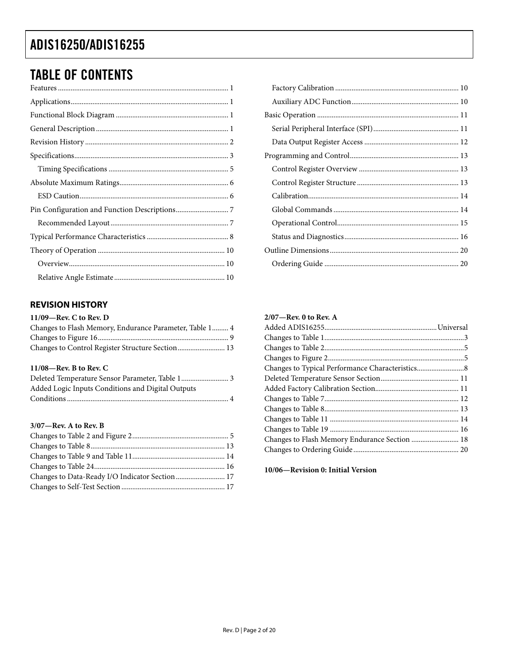# <span id="page-1-0"></span>**TABLE OF CONTENTS**

## **REVISION HISTORY**

#### 11/09-Rev. C to Rev. D

| Changes to Flash Memory, Endurance Parameter, Table 1 4 |  |
|---------------------------------------------------------|--|
|                                                         |  |
|                                                         |  |

#### 11/08-Rev. B to Rev. C

| Deleted Temperature Sensor Parameter, Table 1 3   |  |
|---------------------------------------------------|--|
| Added Logic Inputs Conditions and Digital Outputs |  |
|                                                   |  |

### $3/07$ —Rev. A to Rev. B

| Changes to Data-Ready I/O Indicator Section 17 |  |
|------------------------------------------------|--|
|                                                |  |

## $2/07$ —Rev. 0 to Rev. A

10/06-Revision 0: Initial Version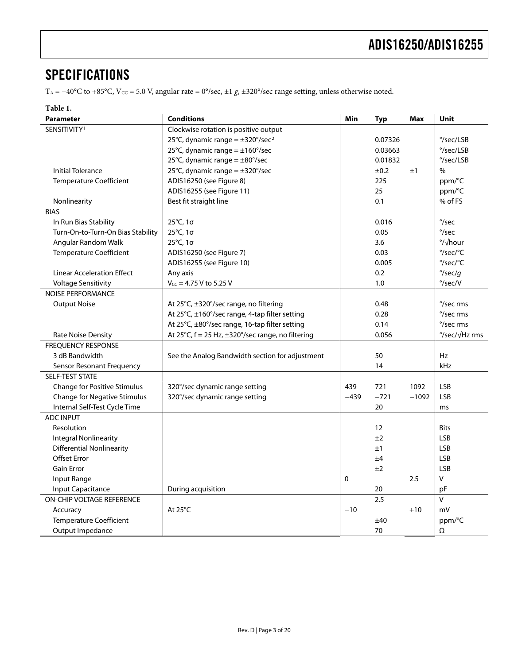## <span id="page-2-0"></span>**SPECIFICATIONS**

T<sub>A</sub> = −40°C to +85°C, V<sub>cC</sub> = 5.0 V, angular rate = 0°/sec, ±1 *g*, ±320°/sec range setting, unless otherwise noted.

## **Table 1.**

| <b>Parameter</b>                    | <b>Conditions</b>                                                        | Min    | <b>Typ</b> | Max           | Unit                       |
|-------------------------------------|--------------------------------------------------------------------------|--------|------------|---------------|----------------------------|
| SENSITIVITY <sup>1</sup>            | Clockwise rotation is positive output                                    |        |            |               |                            |
|                                     | 25°C, dynamic range = $\pm$ 320°/sec <sup>2</sup><br>0.07326             |        |            |               | °/sec/LSB                  |
|                                     | 25°C, dynamic range = $\pm$ 160°/sec                                     |        | 0.03663    |               | $\degree$ /sec/LSB         |
|                                     | 25°C, dynamic range = $\pm 80^{\circ}/sec$<br>0.01832                    |        |            |               | °/sec/LSB                  |
| <b>Initial Tolerance</b>            | 25°C, dynamic range = $\pm$ 320°/sec                                     |        | ±0.2       | ±1            | $\%$                       |
| <b>Temperature Coefficient</b>      | ADIS16250 (see Figure 8)                                                 |        | 225        |               | ppm/°C                     |
|                                     | ADIS16255 (see Figure 11)                                                |        | 25         |               | ppm/°C                     |
| Nonlinearity                        | Best fit straight line                                                   |        | 0.1        |               | % of FS                    |
| <b>BIAS</b>                         |                                                                          |        |            |               |                            |
| In Run Bias Stability               | 25°C, 1σ                                                                 |        | 0.016      |               | $\degree$ /sec             |
| Turn-On-to-Turn-On Bias Stability   | 25°C, 1σ                                                                 |        | 0.05       |               | $\degree$ /sec             |
| Angular Random Walk                 | 25°C, 1σ                                                                 |        | 3.6        |               | $\frac{\circ}{\sqrt{\pi}}$ |
| <b>Temperature Coefficient</b>      | ADIS16250 (see Figure 7)                                                 |        | 0.03       |               | °/sec/°C                   |
|                                     | ADIS16255 (see Figure 10)                                                |        | 0.005      |               | $^{\circ}/sec/^{\circ}C$   |
| <b>Linear Acceleration Effect</b>   | Any axis                                                                 |        | 0.2        |               | $\degree$ /sec/q           |
| <b>Voltage Sensitivity</b>          | $V_{CC}$ = 4.75 V to 5.25 V                                              |        | 1.0        |               | $\degree$ /sec/V           |
| <b>NOISE PERFORMANCE</b>            |                                                                          |        |            |               |                            |
| <b>Output Noise</b>                 | At 25°C, ±320°/sec range, no filtering                                   |        | 0.48       |               | °/sec rms                  |
|                                     | At 25°C, ±160°/sec range, 4-tap filter setting                           |        | 0.28       |               | °/sec rms                  |
|                                     | At 25°C, ±80°/sec range, 16-tap filter setting                           |        | 0.14       |               | °/sec rms                  |
| <b>Rate Noise Density</b>           | At $25^{\circ}$ C, f = 25 Hz, $\pm 320^{\circ}$ /sec range, no filtering |        | 0.056      | °/sec/√Hz rms |                            |
| <b>FREOUENCY RESPONSE</b>           |                                                                          |        |            |               |                            |
| 3 dB Bandwidth                      | See the Analog Bandwidth section for adjustment                          |        | 50         |               | Hz                         |
| Sensor Resonant Frequency           |                                                                          |        | 14         |               | kHz                        |
| <b>SELF-TEST STATE</b>              |                                                                          |        |            |               |                            |
| Change for Positive Stimulus        | 320°/sec dynamic range setting                                           | 439    | 721        | 1092          | <b>LSB</b>                 |
| <b>Change for Negative Stimulus</b> | 320°/sec dynamic range setting                                           | $-439$ | $-721$     | $-1092$       | <b>LSB</b>                 |
| Internal Self-Test Cycle Time       |                                                                          |        | 20         |               | ms                         |
| <b>ADC INPUT</b>                    |                                                                          |        |            |               |                            |
| Resolution                          |                                                                          |        | 12         |               | <b>Bits</b>                |
| <b>Integral Nonlinearity</b>        |                                                                          |        | ±2         |               | <b>LSB</b>                 |
| <b>Differential Nonlinearity</b>    |                                                                          |        | ±1         |               | <b>LSB</b>                 |
| <b>Offset Error</b>                 |                                                                          |        | ±4         |               | <b>LSB</b>                 |
| Gain Error                          |                                                                          |        | ±2         |               | LSB                        |
| Input Range                         |                                                                          | 0      |            | 2.5           | $\vee$                     |
| <b>Input Capacitance</b>            | During acquisition                                                       |        | 20         |               | pF                         |
| ON-CHIP VOLTAGE REFERENCE           |                                                                          |        | 2.5        |               | $\overline{V}$             |
| Accuracy                            | At $25^{\circ}$ C<br>$-10$<br>$+10$                                      |        |            | mV            |                            |
| <b>Temperature Coefficient</b>      | ±40                                                                      |        |            | ppm/°C        |                            |
| Output Impedance                    |                                                                          |        | 70         |               | Ω                          |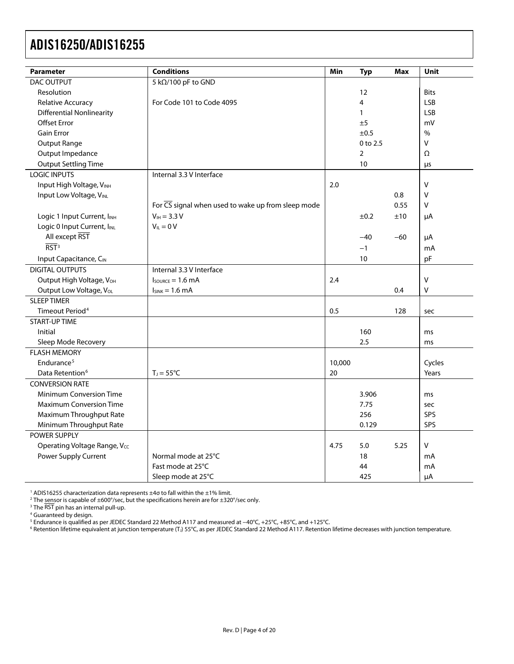<span id="page-3-0"></span>

| <b>Parameter</b>                        | <b>Conditions</b>                                               | Min    | <b>Typ</b>     | <b>Max</b> | <b>Unit</b>   |  |
|-----------------------------------------|-----------------------------------------------------------------|--------|----------------|------------|---------------|--|
| <b>DAC OUTPUT</b>                       | 5 kΩ/100 pF to GND                                              |        |                |            |               |  |
| Resolution                              | 12<br><b>Bits</b>                                               |        |                |            |               |  |
| Relative Accuracy                       | For Code 101 to Code 4095                                       |        | $\overline{4}$ |            | <b>LSB</b>    |  |
| <b>Differential Nonlinearity</b>        |                                                                 |        | $\mathbf{1}$   |            | <b>LSB</b>    |  |
| <b>Offset Error</b>                     |                                                                 |        | ±5             |            | mV            |  |
| <b>Gain Error</b>                       |                                                                 |        | ±0.5           |            | $\frac{0}{0}$ |  |
| Output Range                            |                                                                 |        | 0 to 2.5       |            | V             |  |
| Output Impedance                        |                                                                 |        | $\overline{2}$ |            | Ω             |  |
| <b>Output Settling Time</b>             |                                                                 |        | 10             |            | μs            |  |
| <b>LOGIC INPUTS</b>                     | Internal 3.3 V Interface                                        |        |                |            |               |  |
| Input High Voltage, VINH                |                                                                 | 2.0    |                |            | $\vee$        |  |
| Input Low Voltage, VINL                 |                                                                 |        |                | 0.8        | $\mathsf{V}$  |  |
|                                         | For $\overline{CS}$ signal when used to wake up from sleep mode |        |                | 0.55       | V             |  |
| Logic 1 Input Current, I <sub>INH</sub> | $V_{\text{IH}} = 3.3 V$                                         |        | ±0.2           | ±10        | μA            |  |
| Logic 0 Input Current, IINL             | $V_{IL} = 0 V$                                                  |        |                |            |               |  |
| All except RST                          |                                                                 |        | $-40$          | $-60$      | μA            |  |
| $\overline{RST}$ <sup>3</sup>           |                                                                 |        | $-1$           |            | mA            |  |
| Input Capacitance, CIN                  |                                                                 |        | pF             |            |               |  |
| <b>DIGITAL OUTPUTS</b>                  | Internal 3.3 V Interface                                        |        |                |            |               |  |
| Output High Voltage, VOH                | $I_{\text{SOWRCE}} = 1.6 \text{ mA}$                            | 2.4    |                |            | V             |  |
| Output Low Voltage, VoL                 | $ISINK = 1.6 mA$                                                | 0.4    | V              |            |               |  |
| <b>SLEEP TIMER</b>                      |                                                                 |        |                |            |               |  |
| Timeout Period <sup>4</sup>             |                                                                 | 0.5    |                | 128        | sec           |  |
| <b>START-UP TIME</b>                    |                                                                 |        |                |            |               |  |
| Initial                                 |                                                                 |        | 160            |            | ms            |  |
| Sleep Mode Recovery                     |                                                                 |        | 2.5            |            | ms            |  |
| <b>FLASH MEMORY</b>                     |                                                                 |        |                |            |               |  |
| Endurance <sup>5</sup>                  |                                                                 | 10,000 |                |            | Cycles        |  |
| Data Retention <sup>6</sup>             | $T_J = 55^{\circ}C$                                             | 20     |                |            | Years         |  |
| <b>CONVERSION RATE</b>                  |                                                                 |        |                |            |               |  |
| <b>Minimum Conversion Time</b>          |                                                                 |        | 3.906          |            | ms            |  |
| <b>Maximum Conversion Time</b>          |                                                                 |        | 7.75           |            | sec           |  |
| Maximum Throughput Rate                 |                                                                 | 256    |                | SPS        |               |  |
| Minimum Throughput Rate                 | 0.129                                                           |        |                |            |               |  |
| <b>POWER SUPPLY</b>                     |                                                                 |        |                |            |               |  |
| Operating Voltage Range, Vcc            |                                                                 | 4.75   | 5.0            | 5.25       | V             |  |
| Power Supply Current                    | Normal mode at 25°C<br>18                                       |        |                | mA         |               |  |
|                                         | Fast mode at 25°C                                               |        | 44             |            | mA            |  |
|                                         | Sleep mode at 25°C                                              |        | 425            |            | μA            |  |

<sup>1</sup> ADIS16255 characterization data represents ±4σ to fall within the ±1% limit.<br><sup>2</sup> The sensor is canable of +600°/sec, but the specifications herein are for +320

<sup>2</sup> The <u>sen</u>sor is capable of ±600°/sec, but the specifications herein are for ±320°/sec only.<br><sup>3</sup> The RST pin has an internal pull-un

<sup>3</sup> The RST pin has an internal pull-up.<br><sup>4</sup> Guaranteed by design.

5 Endurance is qualified as per JEDEC Standard 22 Method A117 and measured at −40°C, +25°C, +85°C, and +125°C. 6

 $6$  Retention lifetime equivalent at junction temperature (T<sub>J</sub>) 55°C, as per JEDEC Standard 22 Method A117. Retention lifetime decreases with junction temperature.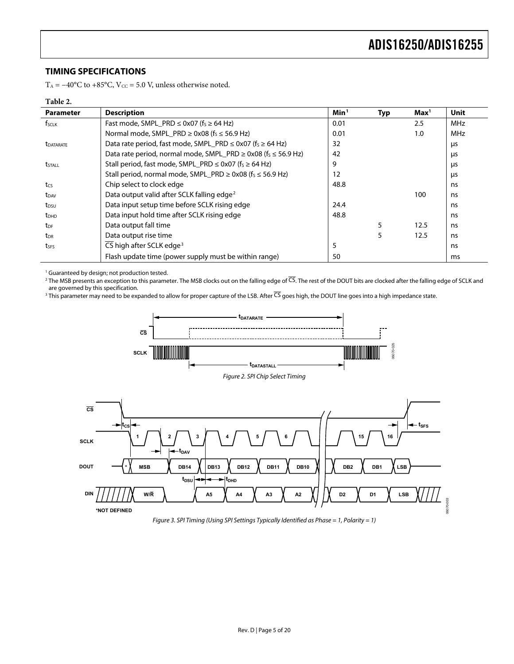## <span id="page-4-0"></span>**TIMING SPECIFICATIONS**

T<sub>A</sub> =  $-40^{\circ}$ C to +85 $^{\circ}$ C, V<sub>cc</sub> = 5.0 V, unless otherwise noted.

#### **Table 2.**

<span id="page-4-1"></span>

| <b>Parameter</b>        | <b>Description</b>                                                                  | Min <sup>1</sup> | <b>Typ</b> | Max <sup>1</sup> | <b>Unit</b> |
|-------------------------|-------------------------------------------------------------------------------------|------------------|------------|------------------|-------------|
| f <sub>sclk</sub>       | Fast mode, SMPL_PRD $\leq$ 0x07 (f <sub>s</sub> $\geq$ 64 Hz)                       | 0.01             |            | 2.5              | <b>MHz</b>  |
|                         | Normal mode, SMPL_PRD $\geq$ 0x08 (f <sub>s</sub> $\leq$ 56.9 Hz)                   | 0.01             |            | 1.0              | <b>MHz</b>  |
| <b><i>LDATARATE</i></b> | Data rate period, fast mode, SMPL_PRD $\leq$ 0x07 (f <sub>s</sub> $\geq$ 64 Hz)     | 32               |            |                  | μs          |
|                         | Data rate period, normal mode, SMPL PRD $\geq$ 0x08 (f <sub>s</sub> $\leq$ 56.9 Hz) | 42               |            |                  | μs          |
| tstall                  | Stall period, fast mode, SMPL_PRD $\leq$ 0x07 (f <sub>s</sub> $\geq$ 64 Hz)         | 9                |            |                  | μs          |
|                         | Stall period, normal mode, SMPL_PRD $\geq$ 0x08 (f <sub>s</sub> $\leq$ 56.9 Hz)     | 12               |            | μs               |             |
| tcs                     | Chip select to clock edge                                                           | 48.8             |            |                  | ns          |
| t <sub>DAV</sub>        | Data output valid after SCLK falling edge <sup>2</sup>                              |                  |            | 100              | ns          |
| t <sub>DSU</sub>        | Data input setup time before SCLK rising edge                                       | 24.4             |            |                  | ns          |
| <b>t</b> <sub>DHD</sub> | Data input hold time after SCLK rising edge                                         | 48.8             |            |                  | ns          |
| t <sub>DF</sub>         | Data output fall time                                                               |                  | 5          | 12.5             | ns          |
| t <sub>DR</sub>         | Data output rise time                                                               |                  | 5          | 12.5             | ns          |
| tses                    | CS high after SCLK edge <sup>3</sup>                                                | 5                |            |                  | ns          |
|                         | Flash update time (power supply must be within range)                               | 50               |            |                  | ms          |

1 Guaranteed by design; not production tested.

<sup>2</sup> The MSB presents an exception to this parameter. The MSB clocks out on the falling edge of <sup>CS</sup>. The rest of the DOUT bits are clocked after the falling edge of SCLK and are governed by this specification.

<span id="page-4-2"></span><sup>3</sup> This parameter may need to be expanded to allow for proper capture of the LSB. After CS goes high, the DOUT line goes into a high impedance state.



<span id="page-4-3"></span>Figure 3. SPI Timing (Using SPI Settings Typically Identified as Phase = 1, Polarity = 1)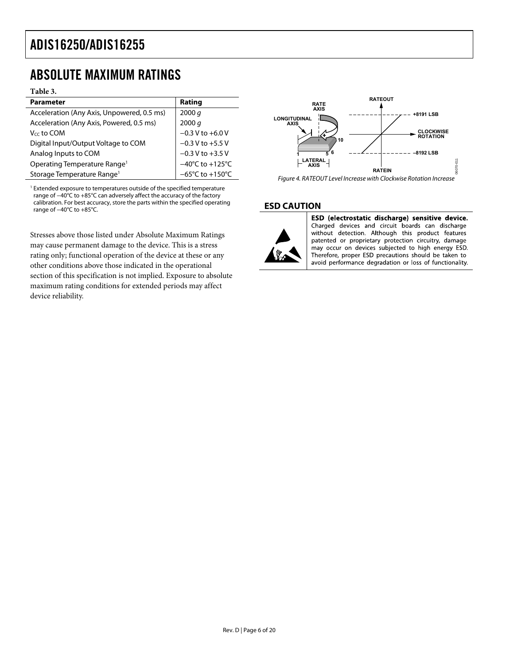## <span id="page-5-0"></span>ABSOLUTE MAXIMUM RATINGS

#### **Table 3.**

| <b>Parameter</b>                           | Rating                               |
|--------------------------------------------|--------------------------------------|
| Acceleration (Any Axis, Unpowered, 0.5 ms) | 2000 q                               |
| Acceleration (Any Axis, Powered, 0.5 ms)   | 2000 q                               |
| V <sub>cc</sub> to COM                     | $-0.3$ V to $+6.0$ V                 |
| Digital Input/Output Voltage to COM        | $-0.3$ V to $+5.5$ V                 |
| Analog Inputs to COM                       | $-0.3$ V to $+3.5$ V                 |
| Operating Temperature Range <sup>1</sup>   | $-40^{\circ}$ C to $+125^{\circ}$ C  |
| Storage Temperature Range <sup>1</sup>     | $-65^{\circ}$ C to +150 $^{\circ}$ C |

<sup>1</sup> Extended exposure to temperatures outside of the specified temperature range of −40°C to +85°C can adversely affect the accuracy of the factory calibration. For best accuracy, store the parts within the specified operating range of −40°C to +85°C.

Stresses above those listed under Absolute Maximum Ratings may cause permanent damage to the device. This is a stress rating only; functional operation of the device at these or any other conditions above those indicated in the operational section of this specification is not implied. Exposure to absolute maximum rating conditions for extended periods may affect device reliability.



## **ESD CAUTION**



ESD (electrostatic discharge) sensitive device. Charged devices and circuit boards can discharge without detection. Although this product features patented or proprietary protection circuitry, damage may occur on devices subjected to high energy ESD. Therefore, proper ESD precautions should be taken to avoid performance degradation or loss of functionality.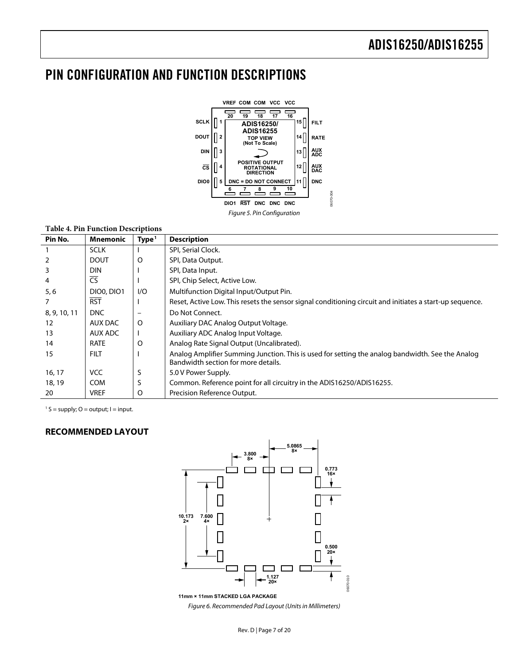# <span id="page-6-0"></span>PIN CONFIGURATION AND FUNCTION DESCRIPTIONS



#### **Table 4. Pin Function Descriptions**

| Pin No.        | Mnemonic          | Type <sup>1</sup>            | <b>Description</b>                                                                                                                      |
|----------------|-------------------|------------------------------|-----------------------------------------------------------------------------------------------------------------------------------------|
|                | <b>SCLK</b>       |                              | SPI, Serial Clock.                                                                                                                      |
| $\overline{2}$ | <b>DOUT</b>       | O                            | SPI, Data Output.                                                                                                                       |
| 3              | <b>DIN</b>        |                              | SPI, Data Input.                                                                                                                        |
| 4              | $\overline{CS}$   |                              | SPI, Chip Select, Active Low.                                                                                                           |
| 5, 6           | <b>DIO0, DIO1</b> | 1/O                          | Multifunction Digital Input/Output Pin.                                                                                                 |
| 7              | <b>RST</b>        |                              | Reset, Active Low. This resets the sensor signal conditioning circuit and initiates a start-up sequence.                                |
| 8, 9, 10, 11   | <b>DNC</b>        | $\qquad \qquad \blacksquare$ | Do Not Connect.                                                                                                                         |
| 12             | <b>AUX DAC</b>    | $\circ$                      | Auxiliary DAC Analog Output Voltage.                                                                                                    |
| 13             | AUX ADC           |                              | Auxiliary ADC Analog Input Voltage.                                                                                                     |
| 14             | <b>RATE</b>       | O                            | Analog Rate Signal Output (Uncalibrated).                                                                                               |
| 15             | <b>FILT</b>       |                              | Analog Amplifier Summing Junction. This is used for setting the analog bandwidth. See the Analog<br>Bandwidth section for more details. |
| 16, 17         | <b>VCC</b>        | S                            | 5.0 V Power Supply.                                                                                                                     |
| 18, 19         | <b>COM</b>        | S                            | Common. Reference point for all circuitry in the ADIS16250/ADIS16255.                                                                   |
| 20             | <b>VREF</b>       | O                            | Precision Reference Output.                                                                                                             |

 $1 S =$  supply; O = output; I = input.

#### **RECOMMENDED LAYOUT**



**11mm × 11mm STACKED LGA PACKAGE** Figure 6. Recommended Pad Layout (Units in Millimeters)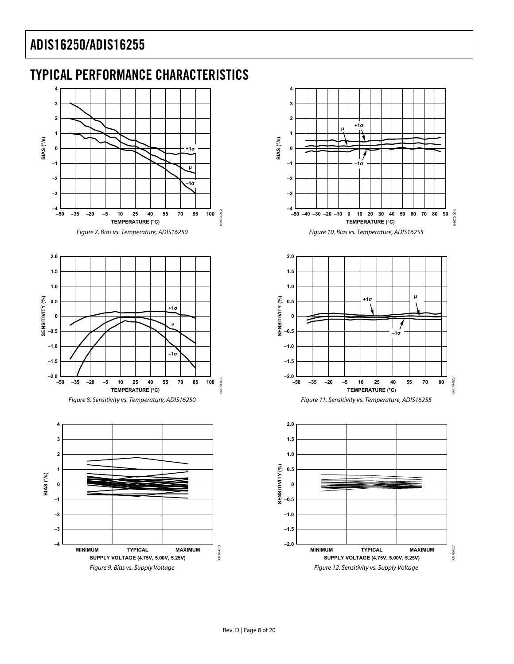# <span id="page-7-0"></span>TYPICAL PERFORMANCE CHARACTERISTICS

<span id="page-7-2"></span>



**<sup>µ</sup> +1<sup>σ</sup>**

**–1σ**

**BIAS (°/s)**

**MINIMUM TYPICAL MAXIMUM SUPPLY VOLTAGE (4.75V, 5.00V, 5.25V)** Figure 9. Bias vs. Supply Voltage

<span id="page-7-1"></span>**–1 –2 –3 –4**

Figure 12. Sensitivity vs. Supply Voltage

06070-013

0070-013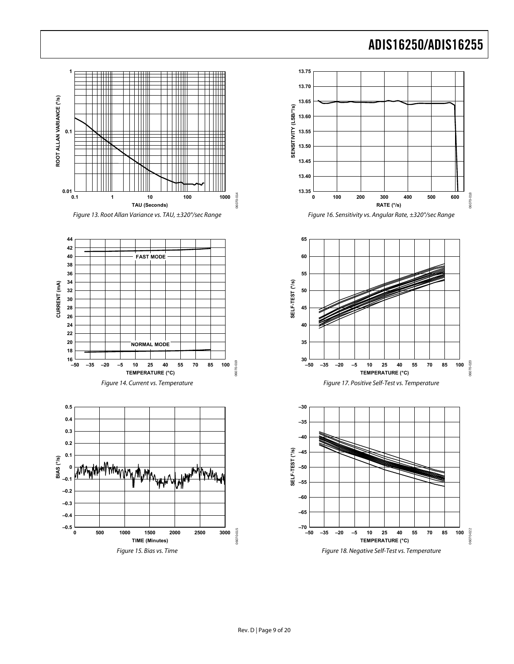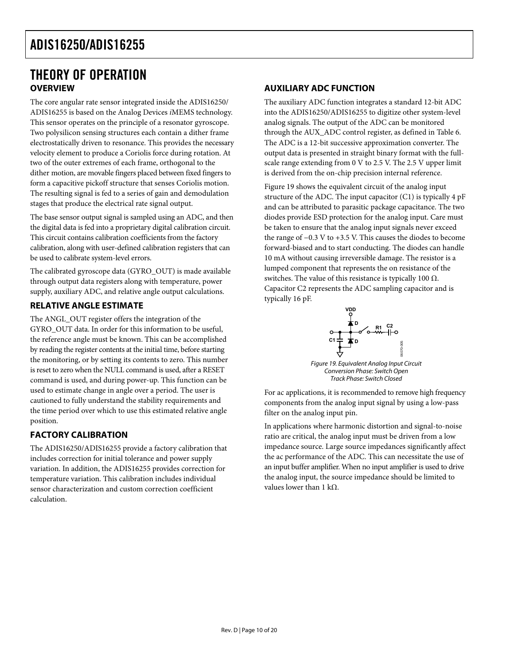## <span id="page-9-0"></span>THEORY OF OPERATION **OVERVIEW**

The core angular rate sensor integrated inside the ADIS16250/ ADIS16255 is based on the Analog Devices *i*MEMS technology. This sensor operates on the principle of a resonator gyroscope. Two polysilicon sensing structures each contain a dither frame electrostatically driven to resonance. This provides the necessary velocity element to produce a Coriolis force during rotation. At two of the outer extremes of each frame, orthogonal to the dither motion, are movable fingers placed between fixed fingers to form a capacitive pickoff structure that senses Coriolis motion. The resulting signal is fed to a series of gain and demodulation stages that produce the electrical rate signal output.

The base sensor output signal is sampled using an ADC, and then the digital data is fed into a proprietary digital calibration circuit. This circuit contains calibration coefficients from the factory calibration, along with user-defined calibration registers that can be used to calibrate system-level errors.

The calibrated gyroscope data (GYRO\_OUT) is made available through output data registers along with temperature, power supply, auxiliary ADC, and relative angle output calculations.

## **RELATIVE ANGLE ESTIMATE**

<span id="page-9-1"></span>The ANGL\_OUT register offers the integration of the GYRO\_OUT data. In order for this information to be useful, the reference angle must be known. This can be accomplished by reading the register contents at the initial time, before starting the monitoring, or by setting its contents to zero. This number is reset to zero when the NULL command is used, after a RESET command is used, and during power-up. This function can be used to estimate change in angle over a period. The user is cautioned to fully understand the stability requirements and the time period over which to use this estimated relative angle position.

## **FACTORY CALIBRATION**

The ADIS16250/ADIS16255 provide a factory calibration that includes correction for initial tolerance and power supply variation. In addition, the ADIS16255 provides correction for temperature variation. This calibration includes individual sensor characterization and custom correction coefficient calculation.

## **AUXILIARY ADC FUNCTION**

The auxiliary ADC function integrates a standard 12-bit ADC into the ADIS16250/ADIS16255 to digitize other system-level analog signals. The output of the ADC can be monitored through the AUX\_ADC control register, as defined in [Table 6](#page-11-1). The ADC is a 12-bit successive approximation converter. The output data is presented in straight binary format with the fullscale range extending from 0 V to 2.5 V. The 2.5 V upper limit is derived from the on-chip precision internal reference.

[Figure 19](#page-9-1) shows the equivalent circuit of the analog input structure of the ADC. The input capacitor (C1) is typically 4 pF and can be attributed to parasitic package capacitance. The two diodes provide ESD protection for the analog input. Care must be taken to ensure that the analog input signals never exceed the range of −0.3 V to +3.5 V. This causes the diodes to become forward-biased and to start conducting. The diodes can handle 10 mA without causing irreversible damage. The resistor is a lumped component that represents the on resistance of the switches. The value of this resistance is typically 100  $Ω$ . Capacitor C2 represents the ADC sampling capacitor and is typically 16 pF.



Track Phase: Switch Closed

For ac applications, it is recommended to remove high frequency components from the analog input signal by using a low-pass filter on the analog input pin.

In applications where harmonic distortion and signal-to-noise ratio are critical, the analog input must be driven from a low impedance source. Large source impedances significantly affect the ac performance of the ADC. This can necessitate the use of an input buffer amplifier. When no input amplifier is used to drive the analog input, the source impedance should be limited to values lower than 1 kΩ.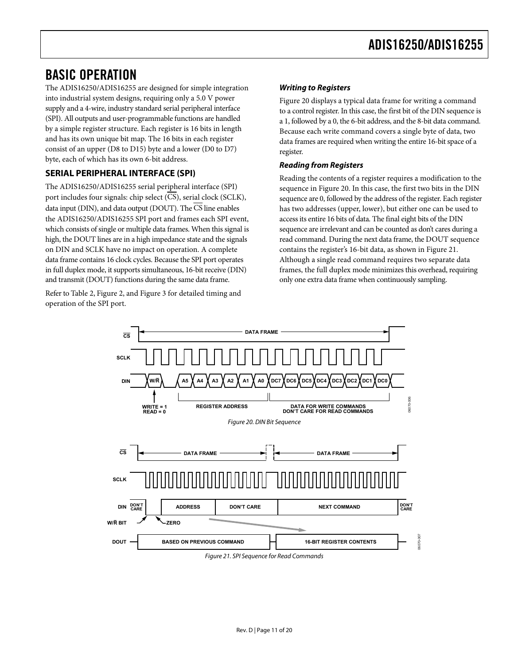## <span id="page-10-0"></span>BASIC OPERATION

The ADIS16250/ADIS16255 are designed for simple integration into industrial system designs, requiring only a 5.0 V power supply and a 4-wire, industry standard serial peripheral interface (SPI). All outputs and user-programmable functions are handled by a simple register structure. Each register is 16 bits in length and has its own unique bit map. The 16 bits in each register consist of an upper (D8 to D15) byte and a lower (D0 to D7) byte, each of which has its own 6-bit address.

## **SERIAL PERIPHERAL INTERFACE (SPI)**

The ADIS16250/ADIS16255 serial peripheral interface (SPI) port includes four signals: chip select (CS), serial clock (SCLK), data input (DIN), and data output (DOUT). The  $\overline{\text{CS}}$  line enables the ADIS16250/ADIS16255 SPI port and frames each SPI event, which consists of single or multiple data frames. When this signal is high, the DOUT lines are in a high impedance state and the signals on DIN and SCLK have no impact on operation. A complete data frame contains 16 clock cycles. Because the SPI port operates in full duplex mode, it supports simultaneous, 16-bit receive (DIN) and transmit (DOUT) functions during the same data frame.

<span id="page-10-1"></span>Refer to [Table 2](#page-4-1), [Figure 2](#page-4-2), and [Figure 3](#page-4-3) for detailed timing and operation of the SPI port.

## **Writing to Registers**

[Figure 20](#page-10-1) displays a typical data frame for writing a command to a control register. In this case, the first bit of the DIN sequence is a 1, followed by a 0, the 6-bit address, and the 8-bit data command. Because each write command covers a single byte of data, two data frames are required when writing the entire 16-bit space of a register.

## **Reading from Registers**

Reading the contents of a register requires a modification to the sequence in [Figure 20](#page-10-1). In this case, the first two bits in the DIN sequence are 0, followed by the address of the register. Each register has two addresses (upper, lower), but either one can be used to access its entire 16 bits of data. The final eight bits of the DIN sequence are irrelevant and can be counted as don't cares during a read command. During the next data frame, the DOUT sequence contains the register's 16-bit data, as shown in [Figure 21.](#page-10-2) Although a single read command requires two separate data frames, the full duplex mode minimizes this overhead, requiring only one extra data frame when continuously sampling.

<span id="page-10-2"></span>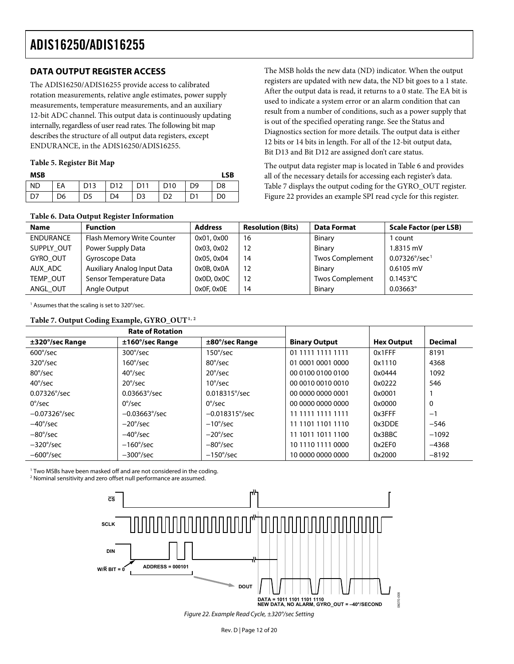## <span id="page-11-0"></span>**DATA OUTPUT REGISTER ACCESS**

The ADIS16250/ADIS16255 provide access to calibrated rotation measurements, relative angle estimates, power supply measurements, temperature measurements, and an auxiliary 12-bit ADC channel. This output data is continuously updating internally, regardless of user read rates. The following bit map describes the structure of all output data registers, except ENDURANCE, in the ADIS16250/ADIS16255.

#### **Table 5. Register Bit Map**

| <b>MSB</b>      |    |    |                 |                |                 |                | LSB            |
|-----------------|----|----|-----------------|----------------|-----------------|----------------|----------------|
| l ND            | EA |    | D13   D12   D11 |                | D <sub>10</sub> | D <sub>9</sub> | D <sub>8</sub> |
| $\overline{D7}$ | D6 | D5 | D <sub>4</sub>  | D <sub>3</sub> | D <sub>2</sub>  | D1             | D0             |

The MSB holds the new data (ND) indicator. When the output registers are updated with new data, the ND bit goes to a 1 state. After the output data is read, it returns to a 0 state. The EA bit is used to indicate a system error or an alarm condition that can result from a number of conditions, such as a power supply that is out of the specified operating range. See the [Status and](#page-15-1)  [Diagnostics](#page-15-1) section for more details. The output data is either 12 bits or 14 bits in length. For all of the 12-bit output data, Bit D13 and Bit D12 are assigned don't care status.

The output data register map is located in [Table 6](#page-11-1) and provides all of the necessary details for accessing each register's data. [Table 7](#page-11-2) displays the output coding for the GYRO\_OUT register. [Figure 22](#page-11-3) provides an example SPI read cycle for this register.

### **Table 6. Data Output Register Information**

<span id="page-11-1"></span>

|                  | $\overline{\phantom{a}}$    |                |                          |                        |                               |
|------------------|-----------------------------|----------------|--------------------------|------------------------|-------------------------------|
| <b>Name</b>      | <b>Function</b>             | <b>Address</b> | <b>Resolution (Bits)</b> | <b>Data Format</b>     | <b>Scale Factor (per LSB)</b> |
| <b>ENDURANCE</b> | Flash Memory Write Counter  | 0x01, 0x00     | 16                       | Binary                 | 1 count                       |
| SUPPLY OUT       | Power Supply Data           | 0x03, 0x02     | 12                       | Binary                 | 1.8315 mV                     |
| <b>GYRO OUT</b>  | Gyroscope Data              | 0x05, 0x04     | 14                       | <b>Twos Complement</b> | $0.07326^{\circ}/sec^{1}$     |
| AUX ADC          | Auxiliary Analog Input Data | 0x0B, 0x0A     | 12                       | Binary                 | $0.6105$ mV                   |
| TEMP OUT         | Sensor Temperature Data     | 0x0D, 0x0C     | 12.                      | <b>Twos Complement</b> | $0.1453^{\circ}$ C            |
| ANGL OUT         | Angle Output                | 0x0F, 0x0E     | 14                       | Binary                 | $0.03663$ °                   |

1 Assumes that the scaling is set to 320°/sec.

#### **Table 7. Output Coding Example, GYRO\_OUT1, 2**

<span id="page-11-2"></span>

| <b>Rate of Rotation</b> |                          |                         |                      |                   |                |
|-------------------------|--------------------------|-------------------------|----------------------|-------------------|----------------|
| ±320°/sec Range         | $±160^{\circ}/sec$ Range | ±80°/sec Range          | <b>Binary Output</b> | <b>Hex Output</b> | <b>Decimal</b> |
| $600^{\circ}/sec$       | $300^{\circ}/sec$        | 150°/sec $\,$           | 01 1111 1111 1111    | 0x1FFF            | 8191           |
| $320^{\circ}/sec$       | $160^{\circ}/sec$        | $80^{\circ}/sec$        | 01 0001 0001 0000    | 0x1110            | 4368           |
| $80^{\circ}/sec$        | $40^{\circ}/sec$         | $20^{\circ}/sec$        | 00 0100 0100 0100    | 0x0444            | 1092           |
| $40^{\circ}/sec$        | $20^{\circ}/sec$         | $10^{\circ}/sec$        | 00 0010 0010 0010    | 0x0222            | 546            |
| $0.07326^{\circ}/sec$   | $0.03663^{\circ}/sec$    | $0.018315^{\circ}/sec$  | 00 0000 0000 0001    | 0x0001            |                |
| $0^{\circ}/sec$         | $0^{\circ}/sec$          | $0^{\circ}/sec$         | 00 0000 0000 0000    | 0x0000            | 0              |
| $-0.07326^{\circ}/sec$  | $-0.03663^{\circ}/sec$   | $-0.018315^{\circ}/sec$ | 1 1111 1111 1111     | $0x3$ FFF         | $-1$           |
| $-40^{\circ}/sec$       | $-20^{\circ}/sec$        | $-10^{\circ}/sec$       | 11 1101 1101 1110    | 0x3DDF            | $-546$         |
| $-80^{\circ}/sec$       | $-40^{\circ}/sec$        | $-20^{\circ}/sec$       | 11 1011 1011 1100    | 0x3BBC            | $-1092$        |
| $-320^{\circ}/sec$      | $-160^{\circ}/sec$       | $-80^{\circ}/sec$       | 10 1110 1111 0000    | 0x2EF0            | $-4368$        |
| $-600^{\circ}/sec$      | $-300^{\circ}/sec$       | $-150^{\circ}/sec$      | 10 0000 0000 0000    | 0x2000            | $-8192$        |

1 Two MSBs have been masked off and are not considered in the coding.

<span id="page-11-3"></span><sup>2</sup> Nominal sensitivity and zero offset null performance are assumed.



Figure 22. Example Read Cycle, ±320°/sec Setting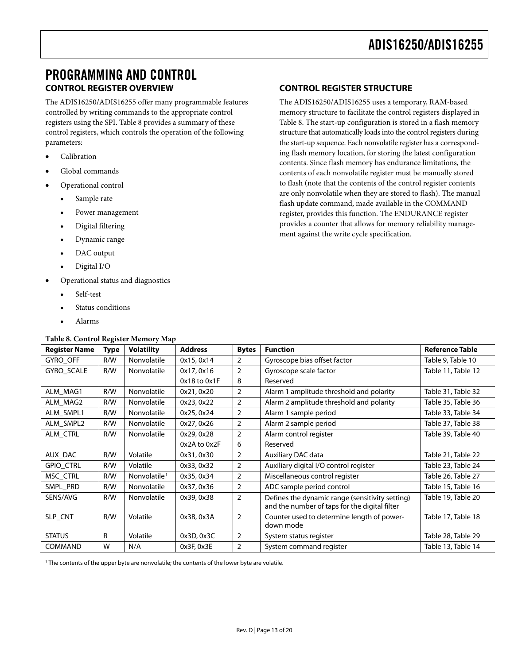## <span id="page-12-0"></span>PROGRAMMING AND CONTROL **CONTROL REGISTER OVERVIEW**

The ADIS16250/ADIS16255 offer many programmable features controlled by writing commands to the appropriate control registers using the SPI. [Table 8](#page-12-1) provides a summary of these control registers, which controls the operation of the following parameters:

- Calibration
- Global commands
- Operational control
	- Sample rate
	- Power management
	- Digital filtering
	- Dynamic range
	- DAC output
	- Digital I/O
- Operational status and diagnostics
	- Self-test
	- Status conditions
	- Alarms

#### **Table 8. Control Register Memory Map**

## **CONTROL REGISTER STRUCTURE**

The ADIS16250/ADIS16255 uses a temporary, RAM-based memory structure to facilitate the control registers displayed in [Table 8](#page-12-1). The start-up configuration is stored in a flash memory structure that automatically loads into the control registers during the start-up sequence. Each nonvolatile register has a corresponding flash memory location, for storing the latest configuration contents. Since flash memory has endurance limitations, the contents of each nonvolatile register must be manually stored to flash (note that the contents of the control register contents are only nonvolatile when they are stored to flash). The manual flash update command, made available in the COMMAND register, provides this function. The ENDURANCE register provides a counter that allows for memory reliability management against the write cycle specification.

<span id="page-12-1"></span>

| <b>Register Name</b> | Type | <b>Volatility</b>        | <b>Address</b>   | <b>Bytes</b>   | <b>Function</b>                                                                                  | <b>Reference Table</b> |
|----------------------|------|--------------------------|------------------|----------------|--------------------------------------------------------------------------------------------------|------------------------|
| GYRO_OFF             | R/W  | Nonvolatile              | 0x15, 0x14       | $\overline{2}$ | Gyroscope bias offset factor                                                                     | Table 9, Table 10      |
| GYRO_SCALE           | R/W  | Nonvolatile              | 0x17, 0x16       | 2              | Gyroscope scale factor                                                                           | Table 11, Table 12     |
|                      |      |                          | $0x18$ to $0x1F$ | 8              | Reserved                                                                                         |                        |
| ALM_MAG1             | R/W  | Nonvolatile              | 0x21, 0x20       | $\overline{2}$ | Alarm 1 amplitude threshold and polarity                                                         | Table 31, Table 32     |
| ALM_MAG2             | R/W  | Nonvolatile              | 0x23, 0x22       | $\overline{2}$ | Alarm 2 amplitude threshold and polarity                                                         | Table 35, Table 36     |
| ALM SMPL1            | R/W  | Nonvolatile              | 0x25, 0x24       | $\overline{2}$ | Alarm 1 sample period                                                                            | Table 33, Table 34     |
| ALM_SMPL2            | R/W  | Nonvolatile              | 0x27, 0x26       | $\overline{2}$ | Alarm 2 sample period                                                                            | Table 37, Table 38     |
| ALM_CTRL             | R/W  | Nonvolatile              | 0x29, 0x28       | 2              | Alarm control register                                                                           | Table 39, Table 40     |
|                      |      |                          | 0x2A to 0x2F     | 6              | Reserved                                                                                         |                        |
| AUX_DAC              | R/W  | Volatile                 | 0x31, 0x30       | $\overline{2}$ | Auxiliary DAC data                                                                               | Table 21, Table 22     |
| <b>GPIO_CTRL</b>     | R/W  | Volatile                 | 0x33, 0x32       | $\overline{2}$ | Auxiliary digital I/O control register                                                           | Table 23, Table 24     |
| MSC_CTRL             | R/W  | Nonvolatile <sup>1</sup> | 0x35, 0x34       | $\overline{2}$ | Miscellaneous control register                                                                   | Table 26, Table 27     |
| SMPL_PRD             | R/W  | Nonvolatile              | 0x37, 0x36       | $\overline{2}$ | ADC sample period control                                                                        | Table 15, Table 16     |
| SENS/AVG             | R/W  | Nonvolatile              | 0x39, 0x38       | 2              | Defines the dynamic range (sensitivity setting)<br>and the number of taps for the digital filter | Table 19, Table 20     |
| SLP_CNT              | R/W  | Volatile                 | 0x3B, 0x3A       | $\overline{2}$ | Counter used to determine length of power-<br>down mode                                          | Table 17, Table 18     |
| <b>STATUS</b>        | R    | Volatile                 | 0x3D, 0x3C       | $\overline{2}$ | System status register                                                                           | Table 28, Table 29     |
| <b>COMMAND</b>       | W    | N/A                      | 0x3F, 0x3E       | $\overline{2}$ | System command register                                                                          | Table 13, Table 14     |

1 The contents of the upper byte are nonvolatile; the contents of the lower byte are volatile.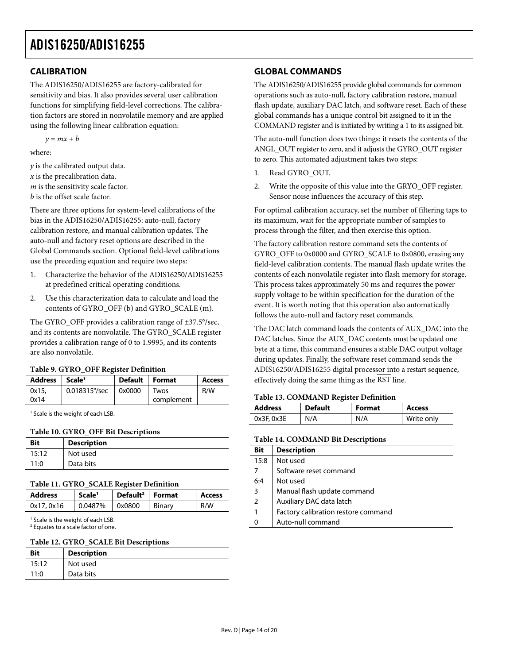## <span id="page-13-7"></span><span id="page-13-0"></span>**CALIBRATION**

The ADIS16250/ADIS16255 are factory-calibrated for sensitivity and bias. It also provides several user calibration functions for simplifying field-level corrections. The calibration factors are stored in nonvolatile memory and are applied using the following linear calibration equation:

 $y = mx + b$ 

where:

*y* is the calibrated output data. *x* is the precalibration data. *m* is the sensitivity scale factor. *b* is the offset scale factor.

There are three options for system-level calibrations of the bias in the ADIS16250/ADIS16255: auto-null, factory calibration restore, and manual calibration updates. The auto-null and factory reset options are described in the [Global Commands](#page-13-7) section. Optional field-level calibrations use the preceding equation and require two steps:

- 1. Characterize the behavior of the ADIS16250/ADIS16255 at predefined critical operating conditions.
- 2. Use this characterization data to calculate and load the contents of GYRO\_OFF (b) and GYRO\_SCALE (m).

The GYRO\_OFF provides a calibration range of ±37.5°/sec, and its contents are nonvolatile. The GYRO\_SCALE register provides a calibration range of 0 to 1.9995, and its contents are also nonvolatile.

#### **Table 9. GYRO\_OFF Register Definition**

<span id="page-13-1"></span>

| <b>Address</b> | Scale <sup>1</sup>     | <b>Default</b> | <b>Format</b> | <b>Access</b> |
|----------------|------------------------|----------------|---------------|---------------|
| 0x15.          | $0.018315^{\circ}/sec$ | 0x0000         | Twos          | R/W           |
| 0x14           |                        |                | complement    |               |

<span id="page-13-5"></span>1 Scale is the weight of each LSB.

#### **Table 10. GYRO\_OFF Bit Descriptions**

<span id="page-13-6"></span><span id="page-13-2"></span>

| <b>Bit</b> | <b>Description</b> |
|------------|--------------------|
| 15:12      | Not used           |
| 11:0       | Data bits          |

#### **Table 11. GYRO\_SCALE Register Definition**

<span id="page-13-3"></span>

| Address    | Scale <sup>1</sup> | Default <sup>2</sup>   Format |        | <b>Access</b> |
|------------|--------------------|-------------------------------|--------|---------------|
| 0x17, 0x16 | 0.0487%            | $\mid$ 0x0800                 | Binary | R/W           |

<sup>1</sup> Scale is the weight of each LSB.

2 Equates to a scale factor of one.

#### **Table 12. GYRO\_SCALE Bit Descriptions**

<span id="page-13-4"></span>

| <b>Bit</b> | <b>Description</b> |
|------------|--------------------|
| 15:12      | Not used           |
| 11:0       | Data bits          |

## **GLOBAL COMMANDS**

The ADIS16250/ADIS16255 provide global commands for common operations such as auto-null, factory calibration restore, manual flash update, auxiliary DAC latch, and software reset. Each of these global commands has a unique control bit assigned to it in the COMMAND register and is initiated by writing a 1 to its assigned bit.

The auto-null function does two things: it resets the contents of the ANGL\_OUT register to zero, and it adjusts the GYRO\_OUT register to zero. This automated adjustment takes two steps:

- 1. Read GYRO\_OUT.
- 2. Write the opposite of this value into the GRYO\_OFF register. Sensor noise influences the accuracy of this step.

For optimal calibration accuracy, set the number of filtering taps to its maximum, wait for the appropriate number of samples to process through the filter, and then exercise this option.

The factory calibration restore command sets the contents of GYRO\_OFF to 0x0000 and GYRO\_SCALE to 0x0800, erasing any field-level calibration contents. The manual flash update writes the contents of each nonvolatile register into flash memory for storage. This process takes approximately 50 ms and requires the power supply voltage to be within specification for the duration of the event. It is worth noting that this operation also automatically follows the auto-null and factory reset commands.

The DAC latch command loads the contents of AUX\_DAC into the DAC latches. Since the AUX\_DAC contents must be updated one byte at a time, this command ensures a stable DAC output voltage during updates. Finally, the software reset command sends the ADIS16250/ADIS16255 digital processor into a restart sequence, effectively doing the same thing as the RST line.

#### **Table 13. COMMAND Register Definition**

| <b>Address</b> |                 | <b>Default</b> | <b>Format</b> | <b>Access</b> |
|----------------|-----------------|----------------|---------------|---------------|
|                | $0x3F$ , $0x3E$ | N/A            | N/A           | Write only    |

#### **Table 14. COMMAND Bit Descriptions**

| <b>Bit</b>     | <b>Description</b>                  |
|----------------|-------------------------------------|
| 15:8           | Not used                            |
|                | Software reset command              |
| 6:4            | Not used                            |
| 3              | Manual flash update command         |
| $\overline{2}$ | Auxiliary DAC data latch            |
|                | Factory calibration restore command |
| $\Omega$       | Auto-null command                   |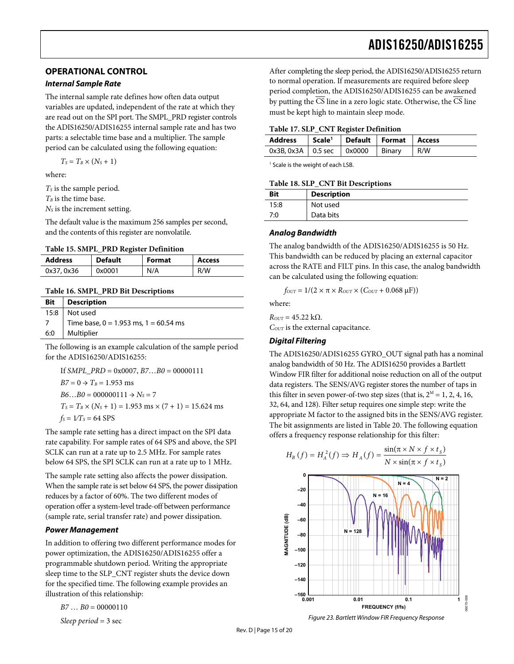## <span id="page-14-0"></span>**OPERATIONAL CONTROL**

#### **Internal Sample Rate**

<span id="page-14-4"></span>The internal sample rate defines how often data output variables are updated, independent of the rate at which they are read out on the SPI port. The SMPL\_PRD register controls the ADIS16250/ADIS16255 internal sample rate and has two parts: a selectable time base and a multiplier. The sample period can be calculated using the following equation:

 $T_S = T_B \times (N_S + 1)$ 

where:

<span id="page-14-5"></span>*T<sub>s</sub>* is the sample period.

 $T_B$  is the time base.

*NS* is the increment setting.

<span id="page-14-1"></span>The default value is the maximum 256 samples per second, and the contents of this register are nonvolatile.

**Table 15. SMPL\_PRD Register Definition** 

<span id="page-14-2"></span>

| <b>Address</b> | <b>Default</b> | <b>Format</b> | Access |
|----------------|----------------|---------------|--------|
| 0x37, 0x36     | 0x0001         | N/A           | R/W    |

#### **Table 16. SMPL\_PRD Bit Descriptions**

<span id="page-14-3"></span>

| <b>Bit</b> | <b>Description</b>                        |
|------------|-------------------------------------------|
|            | 15:8   Not used                           |
|            | Time base, $0 = 1.953$ ms, $1 = 60.54$ ms |
| 6:0        | Multiplier                                |

The following is an example calculation of the sample period for the ADIS16250/ADIS16255:

If *SMPL\_PRD* = 0x0007, *B7*…*B0* = 00000111  $B7 = 0 \rightarrow T_B = 1.953$  ms  $B6...B0 = 000000111 \rightarrow N_s = 7$  $T_s = T_B \times (N_s + 1) = 1.953 \text{ ms} \times (7 + 1) = 15.624 \text{ ms}$  $f_S = 1/T_S = 64$  SPS

The sample rate setting has a direct impact on the SPI data rate capability. For sample rates of 64 SPS and above, the SPI SCLK can run at a rate up to 2.5 MHz. For sample rates below 64 SPS, the SPI SCLK can run at a rate up to 1 MHz.

The sample rate setting also affects the power dissipation. When the sample rate is set below 64 SPS, the power dissipation reduces by a factor of 60%. The two different modes of operation offer a system-level trade-off between performance (sample rate, serial transfer rate) and power dissipation.

#### **Power Management**

In addition to offering two different performance modes for power optimization, the ADIS16250/ADIS16255 offer a programmable shutdown period. Writing the appropriate sleep time to the SLP\_CNT register shuts the device down for the specified time. The following example provides an illustration of this relationship:

$$
B7... B0 = 00000110
$$

*Sleep period* = 3 sec

After completing the sleep period, the ADIS16250/ADIS16255 return to normal operation. If measurements are required before sleep period completion, the ADIS16250/ADIS16255 can be awakened by putting the  $\overline{\text{CS}}$  line in a zero logic state. Otherwise, the  $\overline{\text{CS}}$  line must be kept high to maintain sleep mode.

#### **Table 17. SLP\_CNT Register Definition**

| Address   Scale <sup>1</sup>   Default   Format   Access |  |  |
|----------------------------------------------------------|--|--|
| $0x3B$ , 0x3A   0.5 sec   0x0000   Binary   R/W          |  |  |

<sup>1</sup> Scale is the weight of each LSB.

#### **Table 18. SLP\_CNT Bit Descriptions**

| <b>Bit</b> | <b>Description</b> |
|------------|--------------------|
| 15:8       | Not used           |
| 7:0        | Data bits          |

#### **Analog Bandwidth**

The analog bandwidth of the ADIS16250/ADIS16255 is 50 Hz. This bandwidth can be reduced by placing an external capacitor across the RATE and FILT pins. In this case, the analog bandwidth can be calculated using the following equation:

$$
f_{\text{OUT}} = 1/(2 \times \pi \times R_{\text{OUT}} \times (C_{\text{OUT}} + 0.068 \,\mu\text{F}))
$$

where:

 $R_{OUT} = 45.22 \text{ k}\Omega$ .

*COUT* is the external capacitance.

#### **Digital Filtering**

The ADIS16250/ADIS16255 GYRO\_OUT signal path has a nominal analog bandwidth of 50 Hz. The ADIS16250 provides a Bartlett Window FIR filter for additional noise reduction on all of the output data registers. The SENS/AVG register stores the number of taps in this filter in seven power-of-two step sizes (that is,  $2^M = 1, 2, 4, 16$ , 32, 64, and 128). Filter setup requires one simple step: write the appropriate M factor to the assigned bits in the SENS/AVG register. The bit assignments are listed in [Table 20](#page-15-7). The following equation offers a frequency response relationship for this filter:



Figure 23. Bartlett Window FIR Frequency Response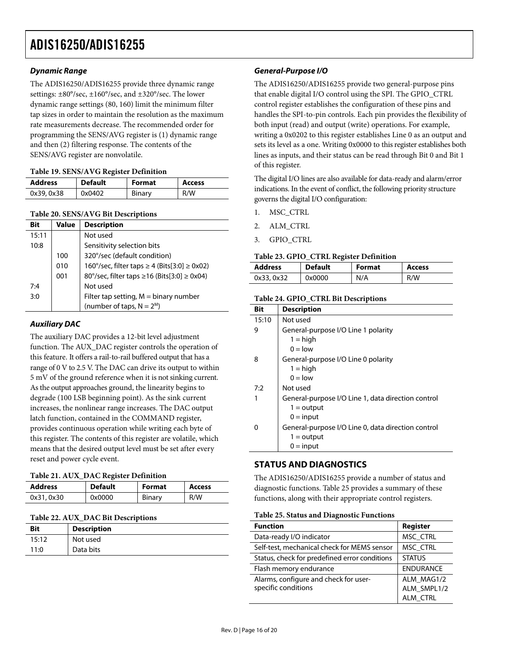## <span id="page-15-0"></span>**Dynamic Range**

The ADIS16250/ADIS16255 provide three dynamic range settings: ±80°/sec, ±160°/sec, and ±320°/sec. The lower dynamic range settings (80, 160) limit the minimum filter tap sizes in order to maintain the resolution as the maximum rate measurements decrease. The recommended order for programming the SENS/AVG register is (1) dynamic range and then (2) filtering response. The contents of the SENS/AVG register are nonvolatile.

#### **Table 19. SENS/AVG Register Definition**

<span id="page-15-6"></span>

| <b>Address</b> | <b>Default</b> | <b>Format</b> | <b>Access</b> |
|----------------|----------------|---------------|---------------|
| 0x39, 0x38     | 0x0402         | Binary        | R/W           |

#### **Table 20. SENS/AVG Bit Descriptions**

<span id="page-15-7"></span><span id="page-15-4"></span>

| Bit   | <b>Value</b> | <b>Description</b>                           |
|-------|--------------|----------------------------------------------|
| 15:11 |              | Not used                                     |
| 10:8  |              | Sensitivity selection bits                   |
|       | 100          | 320°/sec (default condition)                 |
|       | 010          | 160°/sec, filter taps ≥ 4 (Bits[3:0] ≥ 0x02) |
|       | 001          | 80°/sec, filter taps ≥16 (Bits[3:0] ≥ 0x04)  |
| 7:4   |              | Not used                                     |
| 3:0   |              | Filter tap setting, $M = binary$ number      |
|       |              | (number of taps, $N = 2^M$ )                 |

#### <span id="page-15-5"></span>**Auxiliary DAC**

The auxiliary DAC provides a 12-bit level adjustment function. The AUX\_DAC register controls the operation of this feature. It offers a rail-to-rail buffered output that has a range of 0 V to 2.5 V. The DAC can drive its output to within 5 mV of the ground reference when it is not sinking current. As the output approaches ground, the linearity begins to degrade (100 LSB beginning point). As the sink current increases, the nonlinear range increases. The DAC output latch function, contained in the COMMAND register, provides continuous operation while writing each byte of this register. The contents of this register are volatile, which means that the desired output level must be set after every reset and power cycle event.

#### <span id="page-15-1"></span>**Table 21. AUX\_DAC Register Definition**

<span id="page-15-2"></span>

| <b>Address</b> | <b>Default</b> | <b>Format</b> | Access |
|----------------|----------------|---------------|--------|
| 0x31, 0x30     | 0x0000         | Binary        | R/W    |

#### **Table 22. AUX\_DAC Bit Descriptions**

<span id="page-15-8"></span><span id="page-15-3"></span>

| <b>Bit</b> | <b>Description</b> |
|------------|--------------------|
| 15:12      | Not used           |
| 11:0       | Data bits          |

#### **General-Purpose I/O**

The ADIS16250/ADIS16255 provide two general-purpose pins that enable digital I/O control using the SPI. The GPIO\_CTRL control register establishes the configuration of these pins and handles the SPI-to-pin controls. Each pin provides the flexibility of both input (read) and output (write) operations. For example, writing a 0x0202 to this register establishes Line 0 as an output and sets its level as a one. Writing 0x0000 to this register establishes both lines as inputs, and their status can be read through Bit 0 and Bit 1 of this register.

The digital I/O lines are also available for data-ready and alarm/error indications. In the event of conflict, the following priority structure governs the digital I/O configuration:

- 1. MSC\_CTRL
- 2. ALM\_CTRL
- 3. GPIO\_CTRL

#### **Table 23. GPIO\_CTRL Register Definition**

| <b>Address</b> | <b>Default</b> | <b>Format</b> | Access |
|----------------|----------------|---------------|--------|
| 0x33, 0x32     | 0x0000         | N/A           | R/W    |

#### **Table 24. GPIO\_CTRL Bit Descriptions**

| Bit   | <b>Description</b>                                 |
|-------|----------------------------------------------------|
| 15:10 | Not used                                           |
| 9     | General-purpose I/O Line 1 polarity                |
|       | $1 =$ high                                         |
|       | $0 = \text{low}$                                   |
| 8     | General-purpose I/O Line 0 polarity                |
|       | $1 = high$                                         |
|       | $0 =$ low                                          |
| 7:2   | Not used                                           |
|       | General-purpose I/O Line 1, data direction control |
|       | $1 =$ output                                       |
|       | $0 = input$                                        |
|       | General-purpose I/O Line 0, data direction control |
|       | $1 =$ output                                       |
|       | $0 = input$                                        |

#### **STATUS AND DIAGNOSTICS**

The ADIS16250/ADIS16255 provide a number of status and diagnostic functions. [Table 25](#page-15-8) provides a summary of these functions, along with their appropriate control registers.

#### **Table 25. Status and Diagnostic Functions**

| <b>Function</b>                               | <b>Register</b>  |
|-----------------------------------------------|------------------|
| Data-ready I/O indicator                      | MSC_CTRL         |
| Self-test, mechanical check for MEMS sensor   | MSC CTRL         |
| Status, check for predefined error conditions | <b>STATUS</b>    |
| Flash memory endurance                        | <b>ENDURANCE</b> |
| Alarms, configure and check for user-         | ALM MAG1/2       |
| specific conditions                           | ALM_SMPL1/2      |
|                                               | ALM_CTRL         |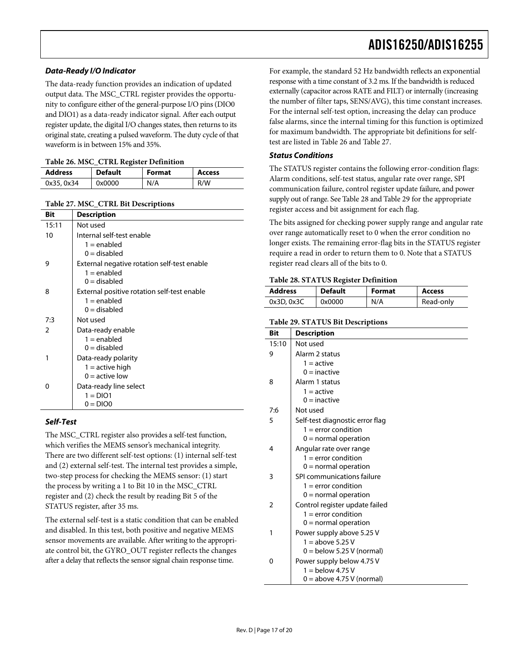### **Data-Ready I/O Indicator**

The data-ready function provides an indication of updated output data. The MSC\_CTRL register provides the opportunity to configure either of the general-purpose I/O pins (DIO0 and DIO1) as a data-ready indicator signal. After each output register update, the digital I/O changes states, then returns to its original state, creating a pulsed waveform. The duty cycle of that waveform is in between 15% and 35%.

<span id="page-16-0"></span>

| <b>Address</b> | <b>Default</b> | <b>Format</b> | <b>Access</b> |
|----------------|----------------|---------------|---------------|
| 0x35, 0x34     | 0x0000         | N/A           | R/W           |

|  |  |  |  | Table 27. MSC_CTRL Bit Descriptions |
|--|--|--|--|-------------------------------------|
|--|--|--|--|-------------------------------------|

<span id="page-16-2"></span><span id="page-16-1"></span>

| Bit   | <b>Description</b>                          |
|-------|---------------------------------------------|
| 15:11 | Not used                                    |
| 10    | Internal self-test enable                   |
|       | $1 =$ enabled                               |
|       | $0 =$ disabled                              |
| 9     | External negative rotation self-test enable |
|       | $1 =$ enabled                               |
|       | $0 =$ disabled                              |
| 8     | External positive rotation self-test enable |
|       | $1 =$ enabled                               |
|       | $0 =$ disabled                              |
| 7:3   | Not used                                    |
| 2     | Data-ready enable                           |
|       | $1 =$ enabled                               |
|       | $0 =$ disabled                              |
| 1     | Data-ready polarity                         |
|       | $1 =$ active high                           |
|       | $0 =$ active low                            |
| o     | Data-ready line select                      |
|       | $1 = DIO1$                                  |
|       | $0 = DIO0$                                  |

#### <span id="page-16-3"></span>**Self-Test**

The MSC\_CTRL register also provides a self-test function, which verifies the MEMS sensor's mechanical integrity. There are two different self-test options: (1) internal self-test and (2) external self-test. The internal test provides a simple, two-step process for checking the MEMS sensor: (1) start the process by writing a 1 to Bit 10 in the MSC\_CTRL register and (2) check the result by reading Bit 5 of the STATUS register, after 35 ms.

The external self-test is a static condition that can be enabled and disabled. In this test, both positive and negative MEMS sensor movements are available. After writing to the appropriate control bit, the GYRO\_OUT register reflects the changes after a delay that reflects the sensor signal chain response time.

For example, the standard 52 Hz bandwidth reflects an exponential response with a time constant of 3.2 ms. If the bandwidth is reduced externally (capacitor across RATE and FILT) or internally (increasing the number of filter taps, SENS/AVG), this time constant increases. For the internal self-test option, increasing the delay can produce false alarms, since the internal timing for this function is optimized for maximum bandwidth. The appropriate bit definitions for selftest are listed in [Table 26](#page-16-0) and [Table 27](#page-16-1).

#### **Status Conditions**

The STATUS register contains the following error-condition flags: Alarm conditions, self-test status, angular rate over range, SPI communication failure, control register update failure, and power supply out of range. See [Table 28](#page-16-2) and [Table 29](#page-16-3) for the appropriate register access and bit assignment for each flag.

The bits assigned for checking power supply range and angular rate over range automatically reset to 0 when the error condition no longer exists. The remaining error-flag bits in the STATUS register require a read in order to return them to 0. Note that a STATUS register read clears all of the bits to 0.

#### **Table 28. STATUS Register Definition**

| <b>Address</b> | <b>Default</b> | <b>Format</b> | Access    |
|----------------|----------------|---------------|-----------|
| 0x3D.0x3C      | 0x0000         | N/A           | Read-only |

**Table 29. STATUS Bit Descriptions** 

| Bit            | <b>Description</b>                                      |
|----------------|---------------------------------------------------------|
| 15:10          | Not used                                                |
| 9              | Alarm 2 status                                          |
|                | $1 =$ active                                            |
|                | $0 =$ inactive                                          |
| 8              | Alarm 1 status                                          |
|                | $1 =$ active                                            |
|                | $0 =$ inactive                                          |
| 7:6            | Not used                                                |
| 5              | Self-test diagnostic error flag                         |
|                | $1 =$ error condition                                   |
|                | $0 =$ normal operation                                  |
| 4              | Angular rate over range                                 |
|                | $1 =$ error condition                                   |
|                | $0 =$ normal operation                                  |
| 3              | SPI communications failure                              |
|                | $1 =$ error condition<br>$0 =$ normal operation         |
| $\overline{2}$ |                                                         |
|                | Control register update failed<br>$1 =$ error condition |
|                | $0 =$ normal operation                                  |
| 1              | Power supply above 5.25 V                               |
|                | $1 =$ above 5.25 V                                      |
|                | $0 =$ below 5.25 V (normal)                             |
| 0              | Power supply below 4.75 V                               |
|                | $1 =$ below 4.75 V                                      |
|                | $0 =$ above 4.75 V (normal)                             |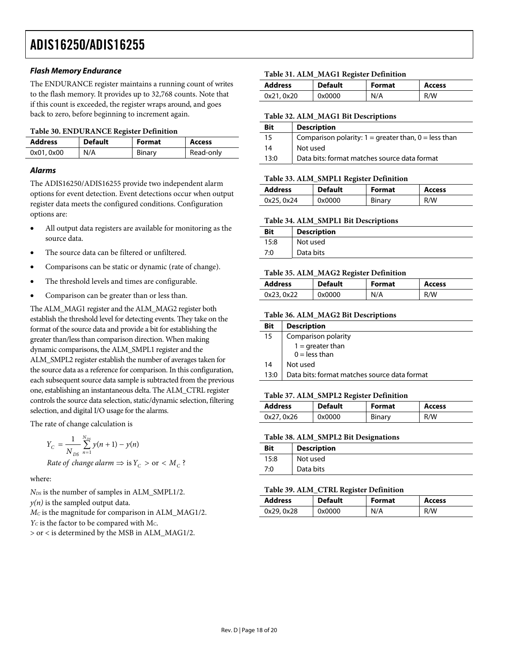#### **Flash Memory Endurance**

<span id="page-17-0"></span>The ENDURANCE register maintains a running count of writes to the flash memory. It provides up to 32,768 counts. Note that if this count is exceeded, the register wraps around, and goes back to zero, before beginning to increment again.

#### <span id="page-17-1"></span>**Table 30. ENDURANCE Register Definition**

| <b>Address</b> | <b>Default</b> | <b>Format</b> | <b>Access</b> |
|----------------|----------------|---------------|---------------|
| 0x01, 0x00     | N/A            | Binary        | Read-only     |

### **Alarms**

<span id="page-17-4"></span>The ADIS16250/ADIS16255 provide two independent alarm options for event detection. Event detections occur when output register data meets the configured conditions. Configuration options are:

- <span id="page-17-5"></span>• All output data registers are available for monitoring as the source data.
- The source data can be filtered or unfiltered.
- <span id="page-17-2"></span>• Comparisons can be static or dynamic (rate of change).
- The threshold levels and times are configurable.
- Comparison can be greater than or less than.

<span id="page-17-3"></span>The ALM\_MAG1 register and the ALM\_MAG2 register both establish the threshold level for detecting events. They take on the format of the source data and provide a bit for establishing the greater than/less than comparison direction. When making dynamic comparisons, the ALM\_SMPL1 register and the ALM\_SMPL2 register establish the number of averages taken for the source data as a reference for comparison. In this configuration, each subsequent source data sample is subtracted from the previous one, establishing an instantaneous delta. The ALM\_CTRL register controls the source data selection, static/dynamic selection, filtering selection, and digital I/O usage for the alarms.

<span id="page-17-7"></span><span id="page-17-6"></span>The rate of change calculation is

$$
Y_C = \frac{1}{N_{DS}} \sum_{n=1}^{N_{DS}} y(n+1) - y(n)
$$
  
Rate of change alarm  $\Rightarrow$  is  $Y_C > \text{or} < M_C$ ?

where:

<span id="page-17-8"></span>*NDS* is the number of samples in ALM\_SMPL1/2.  $y(n)$  is the sampled output data. *MC* is the magnitude for comparison in ALM\_MAG1/2.  $Y_C$  is the factor to be compared with M<sub>C</sub>. > or < is determined by the MSB in ALM\_MAG1/2.

#### **Table 31. ALM\_MAG1 Register Definition**

| <b>Address</b> | <b>Default</b> | Format | <b>Access</b> |
|----------------|----------------|--------|---------------|
| 0x21, 0x20     | 0x0000         | N/A    | R/W           |

#### **Table 32. ALM\_MAG1 Bit Descriptions**

| <b>Bit</b> | <b>Description</b>                                       |
|------------|----------------------------------------------------------|
| 15         | Comparison polarity: $1 =$ greater than, $0 =$ less than |
| 14         | Not used                                                 |
| 13:0       | Data bits: format matches source data format             |

#### **Table 33. ALM\_SMPL1 Register Definition**

| <b>Address</b> | <b>Default</b> | <b>Format</b> | <b>Access</b> |
|----------------|----------------|---------------|---------------|
| 0x25, 0x24     | 0x0000         | Binary        | R/W           |

#### **Table 34. ALM\_SMPL1 Bit Descriptions**

| <b>Bit</b> | <b>Description</b> |
|------------|--------------------|
| 15:8       | Not used           |
| 7:0        | Data bits          |

#### **Table 35. ALM\_MAG2 Register Definition**

| <b>Address</b> | <b>Default</b> | <b>Format</b> | <b>Access</b> |
|----------------|----------------|---------------|---------------|
| 0x23, 0x22     | 0x0000         | N/A           | R/W           |

#### **Table 36. ALM\_MAG2 Bit Descriptions**

| <b>Bit</b> | <b>Description</b>                           |
|------------|----------------------------------------------|
| 15         | Comparison polarity                          |
|            | $1 =$ greater than                           |
|            | $0 =$ less than                              |
| 14         | Not used                                     |
| 13:0       | Data bits: format matches source data format |

#### **Table 37. ALM\_SMPL2 Register Definition**

| <b>Address</b> | <b>Default</b> | <b>Format</b> | <b>Access</b> |
|----------------|----------------|---------------|---------------|
| 0x27, 0x26     | 0x0000         | Binary        | R/W           |

#### **Table 38. ALM\_SMPL2 Bit Designations**

| <b>Bit</b> | <b>Description</b> |
|------------|--------------------|
| 15:8       | Not used           |
| 7:0        | Data bits          |

#### **Table 39. ALM\_CTRL Register Definition**

| <b>Address</b> | <b>Default</b> | <b>Format</b> | Access |  |
|----------------|----------------|---------------|--------|--|
| 0x29, 0x28     | 0x0000         | N/A           | R/W    |  |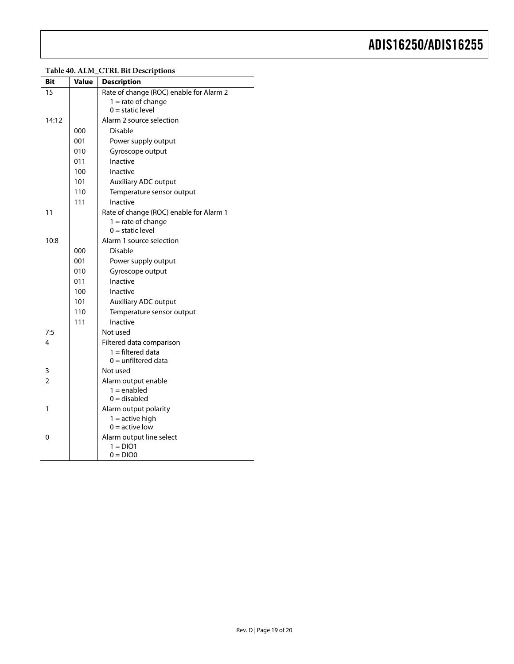<span id="page-18-0"></span>

## **Table 40. ALM\_CTRL Bit Descriptions**